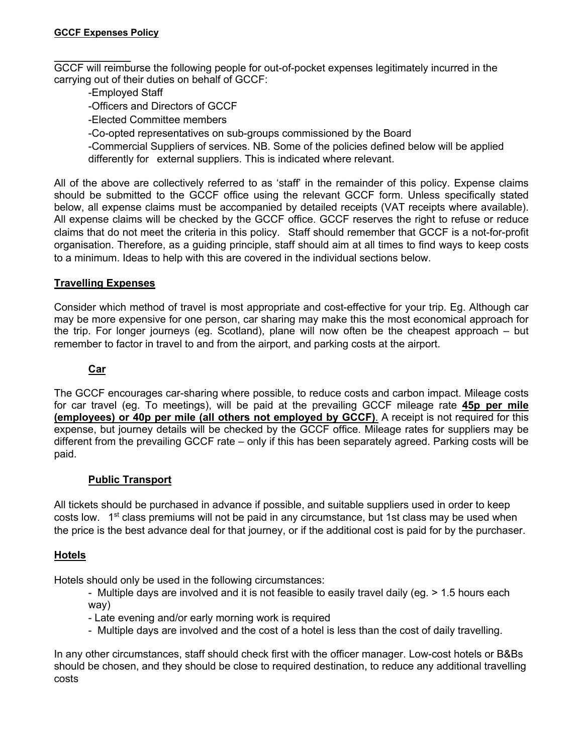GCCF will reimburse the following people for out-of-pocket expenses legitimately incurred in the carrying out of their duties on behalf of GCCF:

- -Employed Staff
- -Officers and Directors of GCCF
- -Elected Committee members
- -Co-opted representatives on sub-groups commissioned by the Board
- -Commercial Suppliers of services. NB. Some of the policies defined below will be applied differently for external suppliers. This is indicated where relevant.

All of the above are collectively referred to as 'staff' in the remainder of this policy. Expense claims should be submitted to the GCCF office using the relevant GCCF form. Unless specifically stated below, all expense claims must be accompanied by detailed receipts (VAT receipts where available). All expense claims will be checked by the GCCF office. GCCF reserves the right to refuse or reduce claims that do not meet the criteria in this policy. Staff should remember that GCCF is a not-for-profit organisation. Therefore, as a guiding principle, staff should aim at all times to find ways to keep costs to a minimum. Ideas to help with this are covered in the individual sections below.

### **Travelling Expenses**

Consider which method of travel is most appropriate and cost-effective for your trip. Eg. Although car may be more expensive for one person, car sharing may make this the most economical approach for the trip. For longer journeys (eg. Scotland), plane will now often be the cheapest approach – but remember to factor in travel to and from the airport, and parking costs at the airport.

#### **Car**

The GCCF encourages car-sharing where possible, to reduce costs and carbon impact. Mileage costs for car travel (eg. To meetings), will be paid at the prevailing GCCF mileage rate **45p per mile (employees) or 40p per mile (all others not employed by GCCF)**. A receipt is not required for this expense, but journey details will be checked by the GCCF office. Mileage rates for suppliers may be different from the prevailing GCCF rate – only if this has been separately agreed. Parking costs will be paid.

#### **Public Transport**

All tickets should be purchased in advance if possible, and suitable suppliers used in order to keep costs low.  $1<sup>st</sup>$  class premiums will not be paid in any circumstance, but 1st class may be used when the price is the best advance deal for that journey, or if the additional cost is paid for by the purchaser.

### **Hotels**

Hotels should only be used in the following circumstances:

- Multiple days are involved and it is not feasible to easily travel daily (eg. > 1.5 hours each way)
- Late evening and/or early morning work is required
- Multiple days are involved and the cost of a hotel is less than the cost of daily travelling.

In any other circumstances, staff should check first with the officer manager. Low-cost hotels or B&Bs should be chosen, and they should be close to required destination, to reduce any additional travelling costs